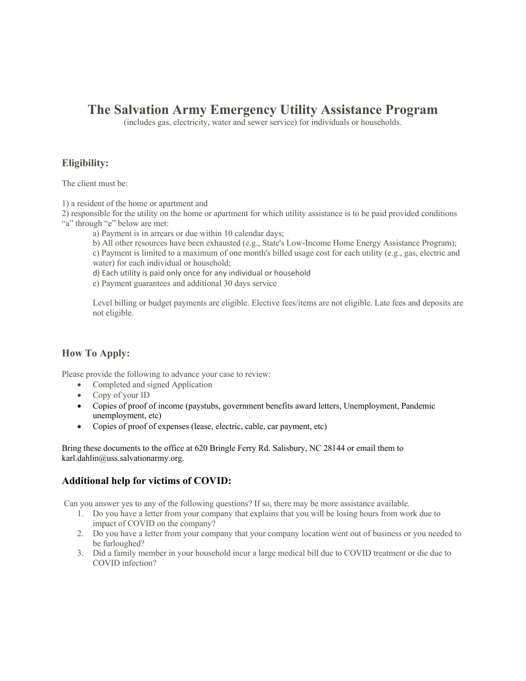# **The Salvation Army Emergency Utility Assistance Program**

(includes gas, electricity, water and sewer service) for individuals or households.

# **Eligibility:**

The client must be:

1) a resident of the home or apartment and

2) responsible for the utility on the home or apartment for which utility assistance is to be paid provided conditions "a" through "e" below are met:

a) Payment is in arrears or due within 10 calendar days;

b) All other resources have been exhausted (e.g., State's Low-Income Home Energy Assistance Program);

c) Payment is limited to a maximum of one month's billed usage cost for each utility (e.g., gas, electric and water) for each individual or household;

d) Each utility is paid only once for any individual or household

e) Payment guarantees and additional 30 days service

Level billing or budget payments are eligible. Elective fees/items are not eligible. Late fees and deposits are not eligible.

# **How To Apply:**

Please provide the following to advance your case to review:

- Completed and signed Application
- Copy of your ID
- Copies of proof of income (paystubs, government benefits award letters, Unemployment, Pandemic unemployment, etc)
- Copies of proof of expenses (lease, electric, cable, car payment, etc)

Bring these documents to the office at 620 Bringle Ferry Rd. Salisbury, NC 28144 or email them to karl.dahlin@uss.salvationarmy.org.

# **Additional help for victims of COVID:**

Can you answer yes to any of the following questions? If so, there may be more assistance available.

- 1. Do you have a letter from your company that explains that you will be losing hours from work due to impact of COVID on the company?
- 2. Do you have a letter from your company that your company location went out of business or you needed to be furloughed?
- 3. Did a family member in your household incur a large medical bill due to COVID treatment or die due to COVID infection?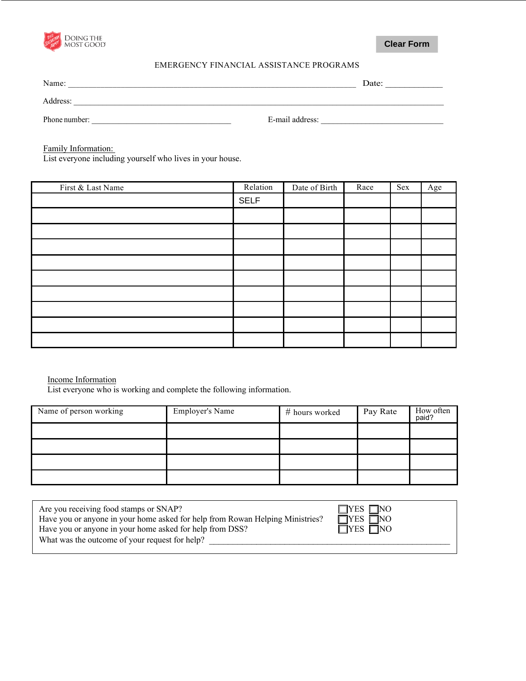

## EMERGENCY FINANCIAL ASSISTANCE PROGRAMS

| MOST GOOD                                                                        |                                         |                 |      | <b>Clear Form</b> |     |
|----------------------------------------------------------------------------------|-----------------------------------------|-----------------|------|-------------------|-----|
|                                                                                  | EMERGENCY FINANCIAL ASSISTANCE PROGRAMS |                 |      |                   |     |
| Name:                                                                            |                                         |                 |      | Date:             |     |
| Address:                                                                         |                                         |                 |      |                   |     |
| Phone number:<br><u> 1980 - Jan Samuel Barbara, martin d</u>                     |                                         | E-mail address: |      |                   |     |
| Family Information:<br>List everyone including yourself who lives in your house. |                                         |                 |      |                   |     |
| First & Last Name                                                                | Relation                                | Date of Birth   | Race | <b>Sex</b>        | Age |
|                                                                                  | <b>SELF</b>                             |                 |      |                   |     |

| First & Last Name | Relation    | Date of Birth | Race | Sex | Age |
|-------------------|-------------|---------------|------|-----|-----|
|                   | <b>SELF</b> |               |      |     |     |
|                   |             |               |      |     |     |
|                   |             |               |      |     |     |
|                   |             |               |      |     |     |
|                   |             |               |      |     |     |
|                   |             |               |      |     |     |
|                   |             |               |      |     |     |
|                   |             |               |      |     |     |
|                   |             |               |      |     |     |
|                   |             |               |      |     |     |

## Income Information

List everyone who is working and complete the following information.

| Name of person working | <b>Employer's Name</b> | # hours worked | Pay Rate | How often<br>paid? |
|------------------------|------------------------|----------------|----------|--------------------|
|                        |                        |                |          |                    |
|                        |                        |                |          |                    |
|                        |                        |                |          |                    |
|                        |                        |                |          |                    |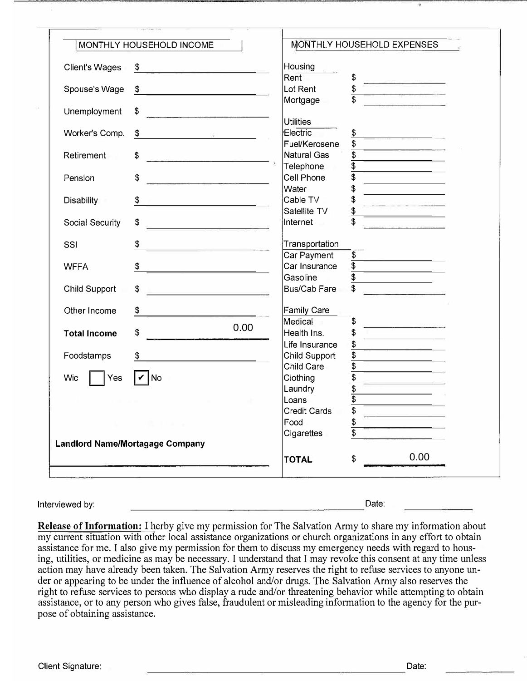|                                                                                                                 |                                                                                                                                                | MONTHLY HOUSEHOLD INCOME                                                                                            |                              | MONTHLY HOUSEHOLD EXPENSES                                                                                     |  |
|-----------------------------------------------------------------------------------------------------------------|------------------------------------------------------------------------------------------------------------------------------------------------|---------------------------------------------------------------------------------------------------------------------|------------------------------|----------------------------------------------------------------------------------------------------------------|--|
|                                                                                                                 | <b>Client's Wages</b>                                                                                                                          | \$                                                                                                                  | Housing                      |                                                                                                                |  |
|                                                                                                                 |                                                                                                                                                |                                                                                                                     | Rent                         | \$                                                                                                             |  |
|                                                                                                                 | Spouse's Wage                                                                                                                                  | \$                                                                                                                  | Lot Rent                     | \$<br>\$                                                                                                       |  |
|                                                                                                                 | Unemployment                                                                                                                                   | \$<br>the contract of the contract of the con-                                                                      | Mortgage                     |                                                                                                                |  |
|                                                                                                                 |                                                                                                                                                |                                                                                                                     | <b>Utilities</b>             |                                                                                                                |  |
|                                                                                                                 | Worker's Comp.                                                                                                                                 | \$<br>2007년 - 대한민국의 대한민국의 대한민국의 대한민국의 대한민국의 대한민국의 대한민국의 대한민국의 대한민국의 대한민국의 대한민국의 대한민국의 대한민국의 대한민국의 대한민국의 대한민국의 대한민국의 | Electric                     | \$                                                                                                             |  |
|                                                                                                                 |                                                                                                                                                |                                                                                                                     | Fuel/Kerosene<br>Natural Gas | \$<br>\$                                                                                                       |  |
|                                                                                                                 | Retirement                                                                                                                                     | \$                                                                                                                  | Telephone                    | $\frac{1}{2}$                                                                                                  |  |
|                                                                                                                 | Pension                                                                                                                                        | \$                                                                                                                  | Cell Phone                   | \$                                                                                                             |  |
|                                                                                                                 |                                                                                                                                                |                                                                                                                     | Water                        | \$                                                                                                             |  |
|                                                                                                                 | <b>Disability</b>                                                                                                                              | \$                                                                                                                  | Cable TV                     | \$                                                                                                             |  |
|                                                                                                                 |                                                                                                                                                |                                                                                                                     | Satellite TV                 | $\frac{1}{2}$                                                                                                  |  |
|                                                                                                                 | Social Security                                                                                                                                | \$                                                                                                                  | Internet                     | \$                                                                                                             |  |
|                                                                                                                 | SSI                                                                                                                                            | \$                                                                                                                  | Transportation               |                                                                                                                |  |
|                                                                                                                 |                                                                                                                                                |                                                                                                                     | Car Payment                  | $\frac{1}{2}$                                                                                                  |  |
|                                                                                                                 | <b>WFFA</b>                                                                                                                                    | \$                                                                                                                  | Car Insurance                | $\overline{\mathfrak{s}}$                                                                                      |  |
|                                                                                                                 |                                                                                                                                                |                                                                                                                     | Gasoline                     | \$                                                                                                             |  |
|                                                                                                                 | <b>Child Support</b>                                                                                                                           | \$                                                                                                                  | <b>Bus/Cab Fare</b>          |                                                                                                                |  |
|                                                                                                                 | Other Income                                                                                                                                   | \$                                                                                                                  | <b>Family Care</b>           |                                                                                                                |  |
|                                                                                                                 |                                                                                                                                                |                                                                                                                     | Medical                      | \$                                                                                                             |  |
|                                                                                                                 | <b>Total Income</b>                                                                                                                            | 0.00<br>\$                                                                                                          | Health Ins.                  | \$                                                                                                             |  |
|                                                                                                                 |                                                                                                                                                |                                                                                                                     | Life Insurance               | \$                                                                                                             |  |
|                                                                                                                 | Foodstamps                                                                                                                                     | \$                                                                                                                  | Child Support                | \$                                                                                                             |  |
|                                                                                                                 |                                                                                                                                                |                                                                                                                     | Child Care                   | $\overline{\$}$                                                                                                |  |
|                                                                                                                 | Wic<br>Yes                                                                                                                                     | ∣⊄∣No                                                                                                               | Clothing                     | \$                                                                                                             |  |
|                                                                                                                 |                                                                                                                                                |                                                                                                                     | Laundry                      | $\frac{3}{3}$                                                                                                  |  |
|                                                                                                                 |                                                                                                                                                |                                                                                                                     | Loans                        |                                                                                                                |  |
|                                                                                                                 |                                                                                                                                                |                                                                                                                     | <b>Credit Cards</b>          |                                                                                                                |  |
|                                                                                                                 |                                                                                                                                                |                                                                                                                     | Food                         | $\frac{1}{2}$                                                                                                  |  |
|                                                                                                                 |                                                                                                                                                |                                                                                                                     | Cigarettes                   | \$                                                                                                             |  |
|                                                                                                                 |                                                                                                                                                | <b>Landlord Name/Mortagage Company</b>                                                                              |                              |                                                                                                                |  |
|                                                                                                                 |                                                                                                                                                |                                                                                                                     | <b>TOTAL</b>                 | 0.00<br>\$                                                                                                     |  |
|                                                                                                                 |                                                                                                                                                |                                                                                                                     |                              |                                                                                                                |  |
|                                                                                                                 | Interviewed by:                                                                                                                                |                                                                                                                     |                              | Date:                                                                                                          |  |
|                                                                                                                 |                                                                                                                                                |                                                                                                                     |                              |                                                                                                                |  |
|                                                                                                                 |                                                                                                                                                |                                                                                                                     |                              | <b>Release of Information:</b> I herby give my permission for The Salvation Army to share my information about |  |
|                                                                                                                 |                                                                                                                                                | my current situation with other local assistance organizations or church organizations in any effort to obtain      |                              |                                                                                                                |  |
| assistance for me. I also give my permission for them to discuss my emergency needs with regard to hous-        |                                                                                                                                                |                                                                                                                     |                              |                                                                                                                |  |
| ing, utilities, or medicine as may be necessary. I understand that I may revoke this consent at any time unless |                                                                                                                                                |                                                                                                                     |                              |                                                                                                                |  |
| action may have already been taken. The Salvation Army reserves the right to refuse services to anyone un-      |                                                                                                                                                |                                                                                                                     |                              |                                                                                                                |  |
| der or appearing to be under the influence of alcohol and/or drugs. The Salvation Army also reserves the        |                                                                                                                                                |                                                                                                                     |                              |                                                                                                                |  |
| right to refuse services to persons who display a rude and/or threatening behavior while attempting to obtain   |                                                                                                                                                |                                                                                                                     |                              |                                                                                                                |  |
|                                                                                                                 | assistance, or to any person who gives false, fraudulent or misleading information to the agency for the pur-<br>pose of obtaining assistance. |                                                                                                                     |                              |                                                                                                                |  |
|                                                                                                                 |                                                                                                                                                |                                                                                                                     |                              |                                                                                                                |  |
|                                                                                                                 |                                                                                                                                                |                                                                                                                     |                              |                                                                                                                |  |
|                                                                                                                 |                                                                                                                                                |                                                                                                                     |                              |                                                                                                                |  |
|                                                                                                                 |                                                                                                                                                |                                                                                                                     |                              |                                                                                                                |  |
|                                                                                                                 | Client Signature:                                                                                                                              |                                                                                                                     |                              | Date:                                                                                                          |  |

#### Interviewed by: Date: Date: Date: Date: Date: Date: Date: Date: Date: Date: Date: Date: Date: Date: Date: Date: Date: Date: Date: Date: Date: Date: Date: Date: Date: Date: Date: Date: Date: Date: Date: Date: Date: Date: Da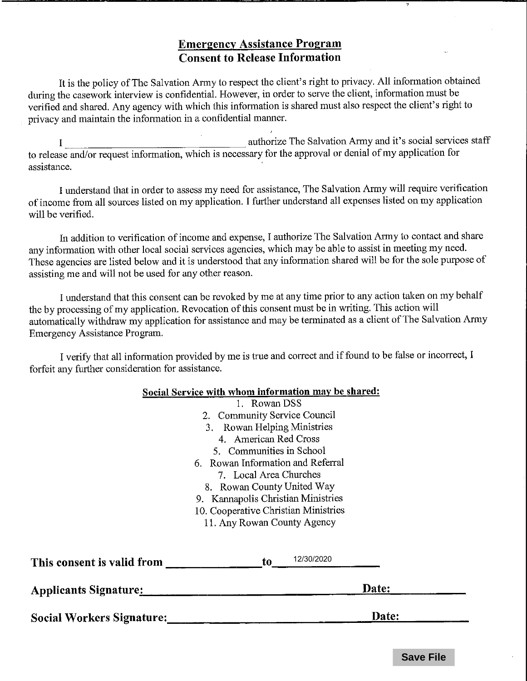# **Emergency Assistance Program Consent to Release Information**

It is the policy of The Salvation Army to respect the client's right to privacy. All information obtained during the casework interview is confidential. However, in order to serve the client, information must be verified and shared. Any agency with which this information is shared must also respect the client's right to privacy and maintain the information in a confidential manner.

authorize The Salvation Army and it's social services staff  $\mathbf{I}$ to release and/or request information, which is necessary for the approval or denial of my application for assistance.

I understand that in order to assess my need for assistance, The Salvation Army will require verification of income from all sources listed on my application. I further understand all expenses listed on my application will be verified.

In addition to verification of income and expense, I authorize The Salvation Army to contact and share any information with other local social services agencies, which may be able to assist in meeting my need. These agencies are listed below and it is understood that any information shared will be for the sole purpose of assisting me and will not be used for any other reason.

I understand that this consent can be revoked by me at any time prior to any action taken on my behalf the by processing of my application. Revocation of this consent must be in writing. This action will automatically withdraw my application for assistance and may be terminated as a client of The Salvation Army Emergency Assistance Program.

I verify that all information provided by me is true and correct and if found to be false or incorrect, I forfeit any further consideration for assistance.

## Social Service with whom information may be shared:

| <b>Social Workers Signature:</b> | Date:                                                                                                                                                                                                                              |  |  |
|----------------------------------|------------------------------------------------------------------------------------------------------------------------------------------------------------------------------------------------------------------------------------|--|--|
| <b>Applicants Signature:</b>     | Date:                                                                                                                                                                                                                              |  |  |
| This consent is valid from       | 12/30/2020<br>to.                                                                                                                                                                                                                  |  |  |
|                                  | 5. Communities in School<br>6. Rowan Information and Referral<br>7. Local Area Churches<br>8. Rowan County United Way<br>9. Kannapolis Christian Ministries<br>10. Cooperative Christian Ministries<br>11. Any Rowan County Agency |  |  |
|                                  | 3. Rowan Helping Ministries<br>4. American Red Cross                                                                                                                                                                               |  |  |
|                                  | 2. Community Service Council                                                                                                                                                                                                       |  |  |
|                                  | - Rowan DSS                                                                                                                                                                                                                        |  |  |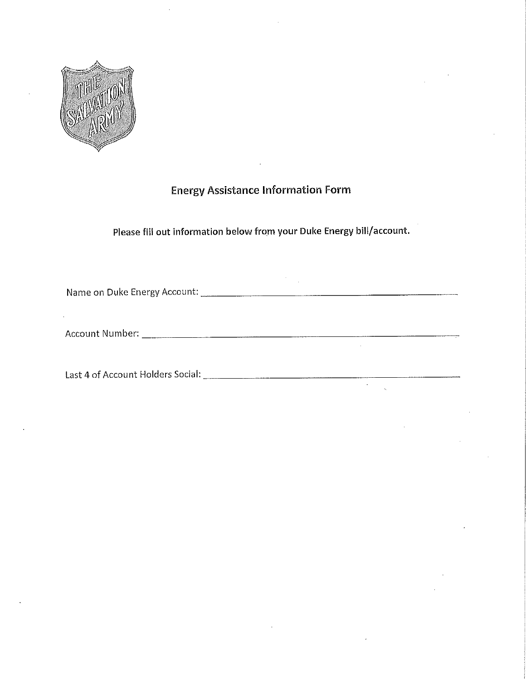

# **Energy Assistance Information Form**

Please fill out information below from your Duke Energy bill/account.